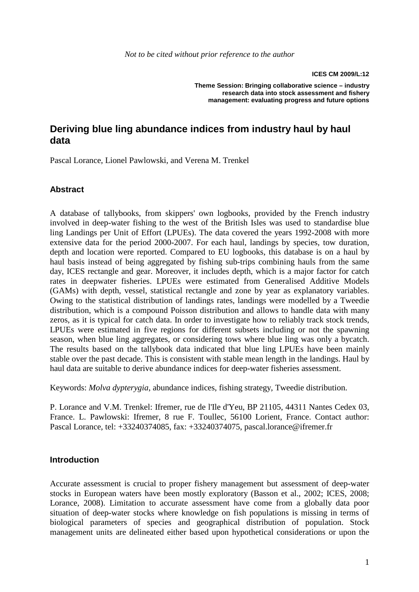**ICES CM 2009/L:12** 

**Theme Session: Bringing collaborative science – industry research data into stock assessment and fishery management: evaluating progress and future options**

## **Deriving blue ling abundance indices from industry haul by haul data**

Pascal Lorance, Lionel Pawlowski, and Verena M. Trenkel

#### **Abstract**

A database of tallybooks, from skippers' own logbooks, provided by the French industry involved in deep-water fishing to the west of the British Isles was used to standardise blue ling Landings per Unit of Effort (LPUEs). The data covered the years 1992-2008 with more extensive data for the period 2000-2007. For each haul, landings by species, tow duration, depth and location were reported. Compared to EU logbooks, this database is on a haul by haul basis instead of being aggregated by fishing sub-trips combining hauls from the same day, ICES rectangle and gear. Moreover, it includes depth, which is a major factor for catch rates in deepwater fisheries. LPUEs were estimated from Generalised Additive Models (GAMs) with depth, vessel, statistical rectangle and zone by year as explanatory variables. Owing to the statistical distribution of landings rates, landings were modelled by a Tweedie distribution, which is a compound Poisson distribution and allows to handle data with many zeros, as it is typical for catch data. In order to investigate how to reliably track stock trends, LPUEs were estimated in five regions for different subsets including or not the spawning season, when blue ling aggregates, or considering tows where blue ling was only a bycatch. The results based on the tallybook data indicated that blue ling LPUEs have been mainly stable over the past decade. This is consistent with stable mean length in the landings. Haul by haul data are suitable to derive abundance indices for deep-water fisheries assessment.

Keywords: *Molva dypterygia*, abundance indices, fishing strategy, Tweedie distribution.

P. Lorance and V.M. Trenkel: Ifremer, rue de l'Ile d'Yeu, BP 21105, 44311 Nantes Cedex 03, France. L. Pawlowski: Ifremer, 8 rue F. Toullec, 56100 Lorient, France. Contact author: Pascal Lorance, tel: +33240374085, fax: +33240374075, pascal.lorance@ifremer.fr

#### **Introduction**

Accurate assessment is crucial to proper fishery management but assessment of deep-water stocks in European waters have been mostly exploratory (Basson et al., 2002; ICES, 2008; Lorance, 2008). Limitation to accurate assessment have come from a globally data poor situation of deep-water stocks where knowledge on fish populations is missing in terms of biological parameters of species and geographical distribution of population. Stock management units are delineated either based upon hypothetical considerations or upon the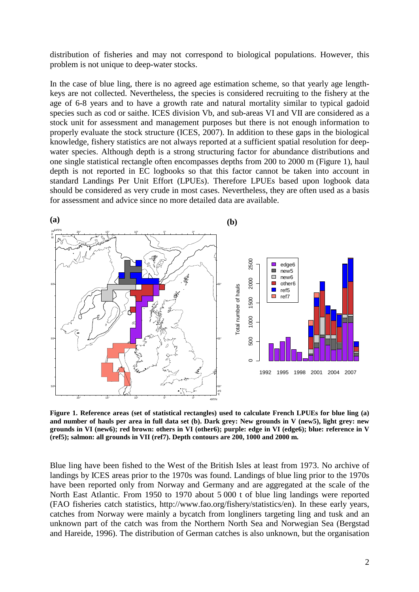distribution of fisheries and may not correspond to biological populations. However, this problem is not unique to deep-water stocks.

In the case of blue ling, there is no agreed age estimation scheme, so that yearly age lengthkeys are not collected. Nevertheless, the species is considered recruiting to the fishery at the age of 6-8 years and to have a growth rate and natural mortality similar to typical gadoid species such as cod or saithe. ICES division Vb, and sub-areas VI and VII are considered as a stock unit for assessment and management purposes but there is not enough information to properly evaluate the stock structure (ICES, 2007). In addition to these gaps in the biological knowledge, fishery statistics are not always reported at a sufficient spatial resolution for deepwater species. Although depth is a strong structuring factor for abundance distributions and one single statistical rectangle often encompasses depths from 200 to 2000 m (Figure 1), haul depth is not reported in EC logbooks so that this factor cannot be taken into account in standard Landings Per Unit Effort (LPUEs). Therefore LPUEs based upon logbook data should be considered as very crude in most cases. Nevertheless, they are often used as a basis for assessment and advice since no more detailed data are available.



**Figure 1. Reference areas (set of statistical rectangles) used to calculate French LPUEs for blue ling (a) and number of hauls per area in full data set (b). Dark grey: New grounds in V (new5), light grey: new grounds in VI (new6); red brown: others in VI (other6); purple: edge in VI (edge6); blue: reference in V (ref5); salmon: all grounds in VII (ref7). Depth contours are 200, 1000 and 2000 m.** 

Blue ling have been fished to the West of the British Isles at least from 1973. No archive of landings by ICES areas prior to the 1970s was found. Landings of blue ling prior to the 1970s have been reported only from Norway and Germany and are aggregated at the scale of the North East Atlantic. From 1950 to 1970 about 5 000 t of blue ling landings were reported (FAO fisheries catch statistics, http://www.fao.org/fishery/statistics/en). In these early years, catches from Norway were mainly a bycatch from longliners targeting ling and tusk and an unknown part of the catch was from the Northern North Sea and Norwegian Sea (Bergstad and Hareide, 1996). The distribution of German catches is also unknown, but the organisation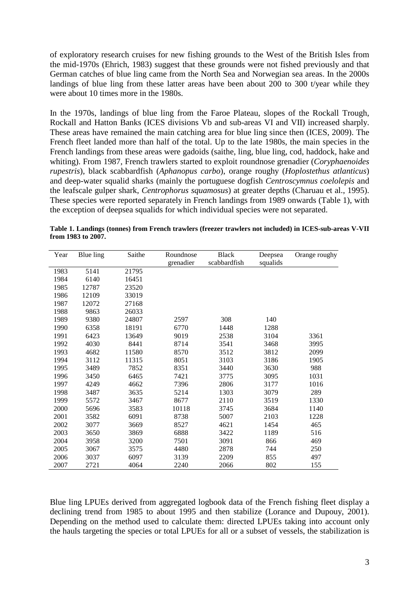of exploratory research cruises for new fishing grounds to the West of the British Isles from the mid-1970s (Ehrich, 1983) suggest that these grounds were not fished previously and that German catches of blue ling came from the North Sea and Norwegian sea areas. In the 2000s landings of blue ling from these latter areas have been about 200 to 300 t/year while they were about 10 times more in the 1980s.

In the 1970s, landings of blue ling from the Faroe Plateau, slopes of the Rockall Trough, Rockall and Hatton Banks (ICES divisions Vb and sub-areas VI and VII) increased sharply. These areas have remained the main catching area for blue ling since then (ICES, 2009). The French fleet landed more than half of the total. Up to the late 1980s, the main species in the French landings from these areas were gadoids (saithe, ling, blue ling, cod, haddock, hake and whiting). From 1987, French trawlers started to exploit roundnose grenadier (*Coryphaenoides rupestris*), black scabbardfish (*Aphanopus carbo*), orange roughy (*Hoplostethus atlanticus*) and deep-water squalid sharks (mainly the portuguese dogfish *Centroscymnus coelolepis* and the leafscale gulper shark, *Centrophorus squamosus*) at greater depths (Charuau et al., 1995). These species were reported separately in French landings from 1989 onwards (Table 1), with the exception of deepsea squalids for which individual species were not separated.

| Year | Blue ling | Saithe | Roundnose | Black        | Deepsea  | Orange roughy |  |
|------|-----------|--------|-----------|--------------|----------|---------------|--|
|      |           |        | grenadier | scabbardfish | squalids |               |  |
| 1983 | 5141      | 21795  |           |              |          |               |  |
| 1984 | 6140      | 16451  |           |              |          |               |  |
| 1985 | 12787     | 23520  |           |              |          |               |  |
| 1986 | 12109     | 33019  |           |              |          |               |  |
| 1987 | 12072     | 27168  |           |              |          |               |  |
| 1988 | 9863      | 26033  |           |              |          |               |  |
| 1989 | 9380      | 24807  | 2597      | 308          | 140      |               |  |
| 1990 | 6358      | 18191  | 6770      | 1448         | 1288     |               |  |
| 1991 | 6423      | 13649  | 9019      | 2538         | 3104     | 3361          |  |
| 1992 | 4030      | 8441   | 8714      | 3541         | 3468     | 3995          |  |
| 1993 | 4682      | 11580  | 8570      | 3512         | 3812     | 2099          |  |
| 1994 | 3112      | 11315  | 8051      | 3103         | 3186     | 1905          |  |
| 1995 | 3489      | 7852   | 8351      | 3440         | 3630     | 988           |  |
| 1996 | 3450      | 6465   | 7421      | 3775         | 3095     | 1031          |  |
| 1997 | 4249      | 4662   | 7396      | 2806         | 3177     | 1016          |  |
| 1998 | 3487      | 3635   | 5214      | 1303         | 3079     | 289           |  |
| 1999 | 5572      | 3467   | 8677      | 2110         | 3519     | 1330          |  |
| 2000 | 5696      | 3583   | 10118     | 3745         | 3684     | 1140          |  |
| 2001 | 3582      | 6091   | 8738      | 5007         | 2103     | 1228          |  |
| 2002 | 3077      | 3669   | 8527      | 4621         | 1454     | 465           |  |
| 2003 | 3650      | 3869   | 6888      | 3422         | 1189     | 516           |  |
| 2004 | 3958      | 3200   | 7501      | 3091         | 866      | 469           |  |
| 2005 | 3067      | 3575   | 4480      | 2878         | 744      | 250           |  |
| 2006 | 3037      | 6097   | 3139      | 2209         | 855      | 497           |  |
| 2007 | 2721      | 4064   | 2240      | 2066         | 802      | 155           |  |

**Table 1. Landings (tonnes) from French trawlers (freezer trawlers not included) in ICES-sub-areas V-VII from 1983 to 2007.** 

Blue ling LPUEs derived from aggregated logbook data of the French fishing fleet display a declining trend from 1985 to about 1995 and then stabilize (Lorance and Dupouy, 2001). Depending on the method used to calculate them: directed LPUEs taking into account only the hauls targeting the species or total LPUEs for all or a subset of vessels, the stabilization is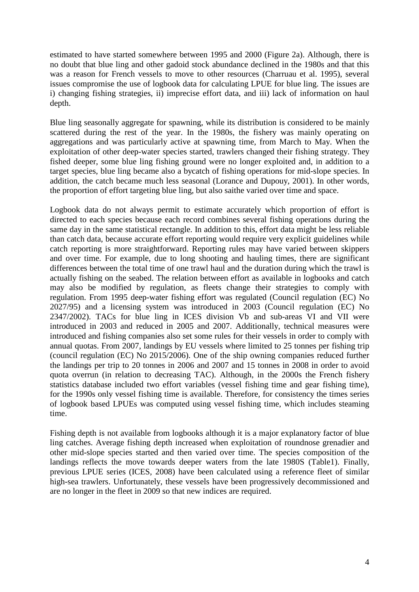estimated to have started somewhere between 1995 and 2000 (Figure 2a). Although, there is no doubt that blue ling and other gadoid stock abundance declined in the 1980s and that this was a reason for French vessels to move to other resources (Charruau et al. 1995), several issues compromise the use of logbook data for calculating LPUE for blue ling. The issues are i) changing fishing strategies, ii) imprecise effort data, and iii) lack of information on haul depth.

Blue ling seasonally aggregate for spawning, while its distribution is considered to be mainly scattered during the rest of the year. In the 1980s, the fishery was mainly operating on aggregations and was particularly active at spawning time, from March to May. When the exploitation of other deep-water species started, trawlers changed their fishing strategy. They fished deeper, some blue ling fishing ground were no longer exploited and, in addition to a target species, blue ling became also a bycatch of fishing operations for mid-slope species. In addition, the catch became much less seasonal (Lorance and Dupouy, 2001). In other words, the proportion of effort targeting blue ling, but also saithe varied over time and space.

Logbook data do not always permit to estimate accurately which proportion of effort is directed to each species because each record combines several fishing operations during the same day in the same statistical rectangle. In addition to this, effort data might be less reliable than catch data, because accurate effort reporting would require very explicit guidelines while catch reporting is more straightforward. Reporting rules may have varied between skippers and over time. For example, due to long shooting and hauling times, there are significant differences between the total time of one trawl haul and the duration during which the trawl is actually fishing on the seabed. The relation between effort as available in logbooks and catch may also be modified by regulation, as fleets change their strategies to comply with regulation. From 1995 deep-water fishing effort was regulated (Council regulation (EC) No 2027/95) and a licensing system was introduced in 2003 (Council regulation (EC) No 2347/2002). TACs for blue ling in ICES division Vb and sub-areas VI and VII were introduced in 2003 and reduced in 2005 and 2007. Additionally, technical measures were introduced and fishing companies also set some rules for their vessels in order to comply with annual quotas. From 2007, landings by EU vessels where limited to 25 tonnes per fishing trip (council regulation (EC) No 2015/2006). One of the ship owning companies reduced further the landings per trip to 20 tonnes in 2006 and 2007 and 15 tonnes in 2008 in order to avoid quota overrun (in relation to decreasing TAC). Although, in the 2000s the French fishery statistics database included two effort variables (vessel fishing time and gear fishing time), for the 1990s only vessel fishing time is available. Therefore, for consistency the times series of logbook based LPUEs was computed using vessel fishing time, which includes steaming time.

Fishing depth is not available from logbooks although it is a major explanatory factor of blue ling catches. Average fishing depth increased when exploitation of roundnose grenadier and other mid-slope species started and then varied over time. The species composition of the landings reflects the move towards deeper waters from the late 1980S (Table1). Finally, previous LPUE series (ICES, 2008) have been calculated using a reference fleet of similar high-sea trawlers. Unfortunately, these vessels have been progressively decommissioned and are no longer in the fleet in 2009 so that new indices are required.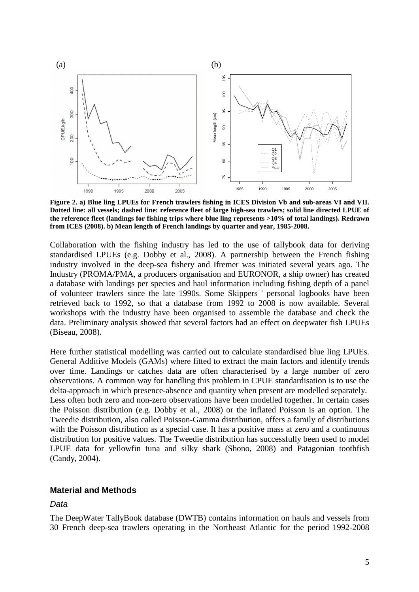

**Figure 2. a) Blue ling LPUEs for French trawlers fishing in ICES Division Vb and sub-areas VI and VII. Dotted line: all vessels; dashed line: reference fleet of large high-sea trawlers; solid line directed LPUE of the reference fleet (landings for fishing trips where blue ling represents >10% of total landings). Redrawn from ICES (2008). b) Mean length of French landings by quarter and year, 1985-2008.** 

Collaboration with the fishing industry has led to the use of tallybook data for deriving standardised LPUEs (e.g. Dobby et al., 2008). A partnership between the French fishing industry involved in the deep-sea fishery and Ifremer was initiated several years ago. The Industry (PROMA/PMA, a producers organisation and EURONOR, a ship owner) has created a database with landings per species and haul information including fishing depth of a panel of volunteer trawlers since the late 1990s. Some Skippers ' personal logbooks have been retrieved back to 1992, so that a database from 1992 to 2008 is now available. Several workshops with the industry have been organised to assemble the database and check the data. Preliminary analysis showed that several factors had an effect on deepwater fish LPUEs (Biseau, 2008).

Here further statistical modelling was carried out to calculate standardised blue ling LPUEs. General Additive Models (GAMs) where fitted to extract the main factors and identify trends over time. Landings or catches data are often characterised by a large number of zero observations. A common way for handling this problem in CPUE standardisation is to use the delta-approach in which presence-absence and quantity when present are modelled separately. Less often both zero and non-zero observations have been modelled together. In certain cases the Poisson distribution (e.g. Dobby et al., 2008) or the inflated Poisson is an option. The Tweedie distribution, also called Poisson-Gamma distribution, offers a family of distributions with the Poisson distribution as a special case. It has a positive mass at zero and a continuous distribution for positive values. The Tweedie distribution has successfully been used to model LPUE data for yellowfin tuna and silky shark (Shono, 2008) and Patagonian toothfish (Candy, 2004).

#### **Material and Methods**

#### Data

The DeepWater TallyBook database (DWTB) contains information on hauls and vessels from 30 French deep-sea trawlers operating in the Northeast Atlantic for the period 1992-2008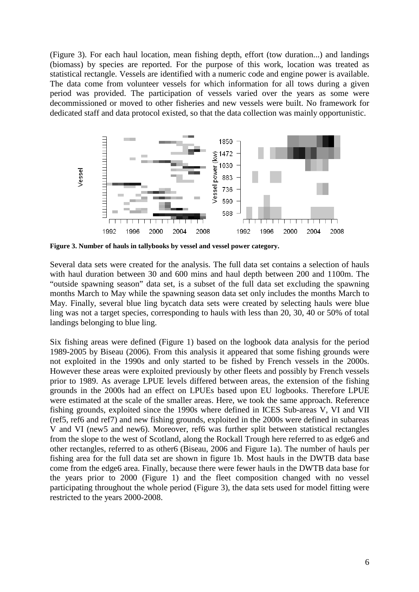(Figure 3). For each haul location, mean fishing depth, effort (tow duration...) and landings (biomass) by species are reported. For the purpose of this work, location was treated as statistical rectangle. Vessels are identified with a numeric code and engine power is available. The data come from volunteer vessels for which information for all tows during a given period was provided. The participation of vessels varied over the years as some were decommissioned or moved to other fisheries and new vessels were built. No framework for dedicated staff and data protocol existed, so that the data collection was mainly opportunistic.



**Figure 3. Number of hauls in tallybooks by vessel and vessel power category.** 

Several data sets were created for the analysis. The full data set contains a selection of hauls with haul duration between 30 and 600 mins and haul depth between 200 and 1100m. The "outside spawning season" data set, is a subset of the full data set excluding the spawning months March to May while the spawning season data set only includes the months March to May. Finally, several blue ling bycatch data sets were created by selecting hauls were blue ling was not a target species, corresponding to hauls with less than 20, 30, 40 or 50% of total landings belonging to blue ling.

Six fishing areas were defined (Figure 1) based on the logbook data analysis for the period 1989-2005 by Biseau (2006). From this analysis it appeared that some fishing grounds were not exploited in the 1990s and only started to be fished by French vessels in the 2000s. However these areas were exploited previously by other fleets and possibly by French vessels prior to 1989. As average LPUE levels differed between areas, the extension of the fishing grounds in the 2000s had an effect on LPUEs based upon EU logbooks. Therefore LPUE were estimated at the scale of the smaller areas. Here, we took the same approach. Reference fishing grounds, exploited since the 1990s where defined in ICES Sub-areas V, VI and VII (ref5, ref6 and ref7) and new fishing grounds, exploited in the 2000s were defined in subareas V and VI (new5 and new6). Moreover, ref6 was further split between statistical rectangles from the slope to the west of Scotland, along the Rockall Trough here referred to as edge6 and other rectangles, referred to as other6 (Biseau, 2006 and Figure 1a). The number of hauls per fishing area for the full data set are shown in figure 1b. Most hauls in the DWTB data base come from the edge6 area. Finally, because there were fewer hauls in the DWTB data base for the years prior to 2000 (Figure 1) and the fleet composition changed with no vessel participating throughout the whole period (Figure 3), the data sets used for model fitting were restricted to the years 2000-2008.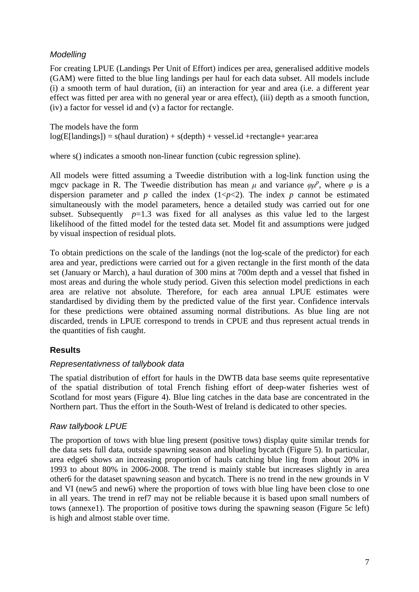## **Modelling**

For creating LPUE (Landings Per Unit of Effort) indices per area, generalised additive models (GAM) were fitted to the blue ling landings per haul for each data subset. All models include (i) a smooth term of haul duration, (ii) an interaction for year and area (i.e. a different year effect was fitted per area with no general year or area effect), (iii) depth as a smooth function, (iv) a factor for vessel id and (v) a factor for rectangle.

The models have the form  $log(E[landings]) = s(haul duration) + s(depth) + vessel.id + rectangle + year: area$ 

where s() indicates a smooth non-linear function (cubic regression spline).

All models were fitted assuming a Tweedie distribution with a log-link function using the mgcv package in R. The Tweedie distribution has mean  $\mu$  and variance  $\varphi \mu^p$ , where  $\varphi$  is a dispersion parameter and *p* called the index  $(1 < p < 2)$ . The index *p* cannot be estimated simultaneously with the model parameters, hence a detailed study was carried out for one subset. Subsequently  $p=1.3$  was fixed for all analyses as this value led to the largest likelihood of the fitted model for the tested data set. Model fit and assumptions were judged by visual inspection of residual plots.

To obtain predictions on the scale of the landings (not the log-scale of the predictor) for each area and year, predictions were carried out for a given rectangle in the first month of the data set (January or March), a haul duration of 300 mins at 700m depth and a vessel that fished in most areas and during the whole study period. Given this selection model predictions in each area are relative not absolute. Therefore, for each area annual LPUE estimates were standardised by dividing them by the predicted value of the first year. Confidence intervals for these predictions were obtained assuming normal distributions. As blue ling are not discarded, trends in LPUE correspond to trends in CPUE and thus represent actual trends in the quantities of fish caught.

## **Results**

## Representativness of tallybook data

The spatial distribution of effort for hauls in the DWTB data base seems quite representative of the spatial distribution of total French fishing effort of deep-water fisheries west of Scotland for most years (Figure 4). Blue ling catches in the data base are concentrated in the Northern part. Thus the effort in the South-West of Ireland is dedicated to other species.

### Raw tallybook LPUE

The proportion of tows with blue ling present (positive tows) display quite similar trends for the data sets full data, outside spawning season and blueling bycatch (Figure 5). In particular, area edge6 shows an increasing proportion of hauls catching blue ling from about 20% in 1993 to about 80% in 2006-2008. The trend is mainly stable but increases slightly in area other6 for the dataset spawning season and bycatch. There is no trend in the new grounds in V and VI (new5 and new6) where the proportion of tows with blue ling have been close to one in all years. The trend in ref7 may not be reliable because it is based upon small numbers of tows (annexe1). The proportion of positive tows during the spawning season (Figure 5c left) is high and almost stable over time.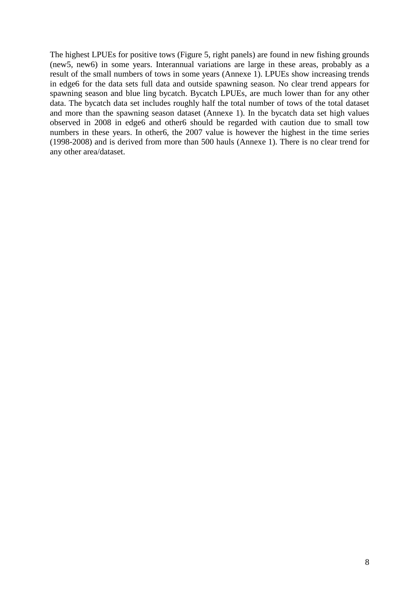The highest LPUEs for positive tows (Figure 5, right panels) are found in new fishing grounds (new5, new6) in some years. Interannual variations are large in these areas, probably as a result of the small numbers of tows in some years (Annexe 1). LPUEs show increasing trends in edge6 for the data sets full data and outside spawning season. No clear trend appears for spawning season and blue ling bycatch. Bycatch LPUEs, are much lower than for any other data. The bycatch data set includes roughly half the total number of tows of the total dataset and more than the spawning season dataset (Annexe 1). In the bycatch data set high values observed in 2008 in edge6 and other6 should be regarded with caution due to small tow numbers in these years. In other6, the 2007 value is however the highest in the time series (1998-2008) and is derived from more than 500 hauls (Annexe 1). There is no clear trend for any other area/dataset.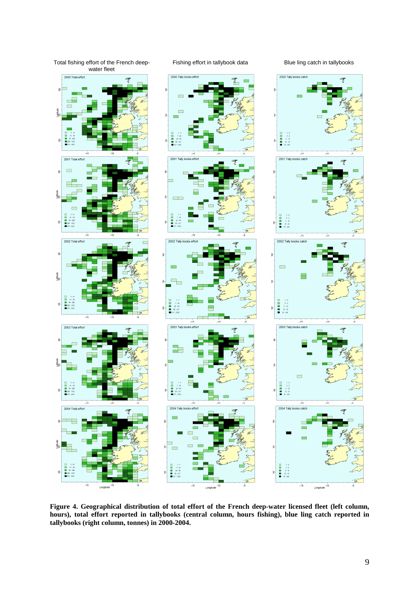

**Figure 4. Geographical distribution of total effort of the French deep-water licensed fleet (left column, hours), total effort reported in tallybooks (central column, hours fishing), blue ling catch reported in tallybooks (right column, tonnes) in 2000-2004.**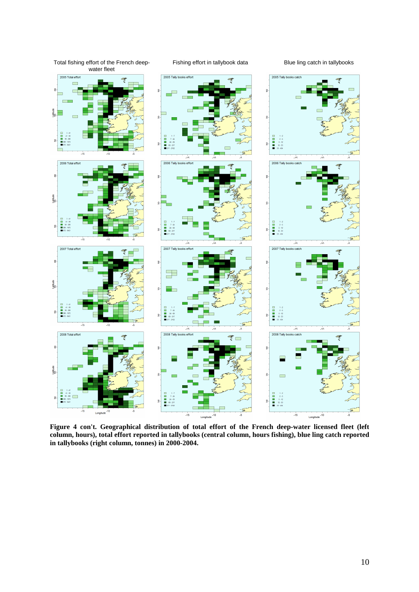

**Figure 4 con't. Geographical distribution of total effort of the French deep-water licensed fleet (left column, hours), total effort reported in tallybooks (central column, hours fishing), blue ling catch reported in tallybooks (right column, tonnes) in 2000-2004.**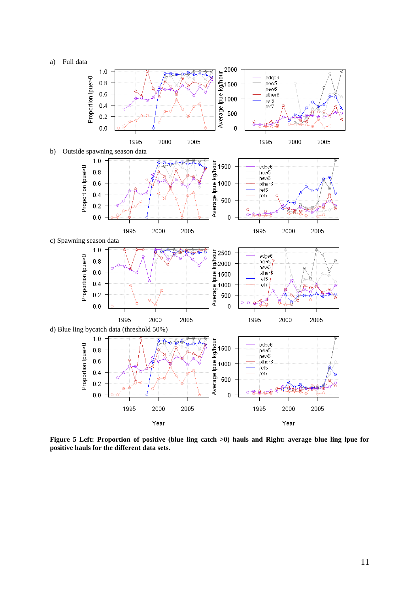



**Figure 5 Left: Proportion of positive (blue ling catch >0) hauls and Right: average blue ling lpue for positive hauls for the different data sets.**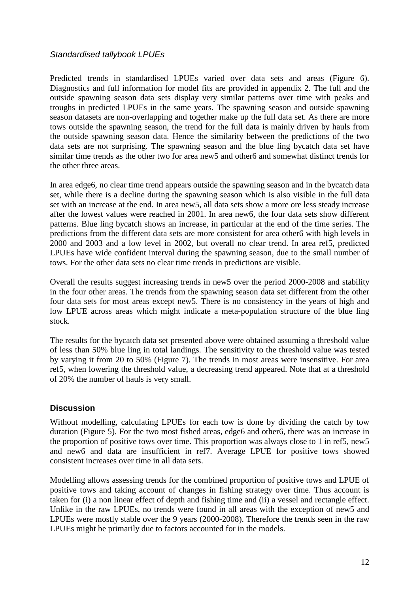## Standardised tallybook LPUEs

Predicted trends in standardised LPUEs varied over data sets and areas (Figure 6). Diagnostics and full information for model fits are provided in appendix 2. The full and the outside spawning season data sets display very similar patterns over time with peaks and troughs in predicted LPUEs in the same years. The spawning season and outside spawning season datasets are non-overlapping and together make up the full data set. As there are more tows outside the spawning season, the trend for the full data is mainly driven by hauls from the outside spawning season data. Hence the similarity between the predictions of the two data sets are not surprising. The spawning season and the blue ling bycatch data set have similar time trends as the other two for area new5 and other6 and somewhat distinct trends for the other three areas.

In area edge6, no clear time trend appears outside the spawning season and in the bycatch data set, while there is a decline during the spawning season which is also visible in the full data set with an increase at the end. In area new5, all data sets show a more ore less steady increase after the lowest values were reached in 2001. In area new6, the four data sets show different patterns. Blue ling bycatch shows an increase, in particular at the end of the time series. The predictions from the different data sets are more consistent for area other6 with high levels in 2000 and 2003 and a low level in 2002, but overall no clear trend. In area ref5, predicted LPUEs have wide confident interval during the spawning season, due to the small number of tows. For the other data sets no clear time trends in predictions are visible.

Overall the results suggest increasing trends in new5 over the period 2000-2008 and stability in the four other areas. The trends from the spawning season data set different from the other four data sets for most areas except new5. There is no consistency in the years of high and low LPUE across areas which might indicate a meta-population structure of the blue ling stock.

The results for the bycatch data set presented above were obtained assuming a threshold value of less than 50% blue ling in total landings. The sensitivity to the threshold value was tested by varying it from 20 to 50% (Figure 7). The trends in most areas were insensitive. For area ref5, when lowering the threshold value, a decreasing trend appeared. Note that at a threshold of 20% the number of hauls is very small.

### **Discussion**

Without modelling, calculating LPUEs for each tow is done by dividing the catch by tow duration (Figure 5). For the two most fished areas, edge6 and other6, there was an increase in the proportion of positive tows over time. This proportion was always close to 1 in ref5, new5 and new6 and data are insufficient in ref7. Average LPUE for positive tows showed consistent increases over time in all data sets.

Modelling allows assessing trends for the combined proportion of positive tows and LPUE of positive tows and taking account of changes in fishing strategy over time. Thus account is taken for (i) a non linear effect of depth and fishing time and (ii) a vessel and rectangle effect. Unlike in the raw LPUEs, no trends were found in all areas with the exception of new5 and LPUEs were mostly stable over the 9 years (2000-2008). Therefore the trends seen in the raw LPUEs might be primarily due to factors accounted for in the models.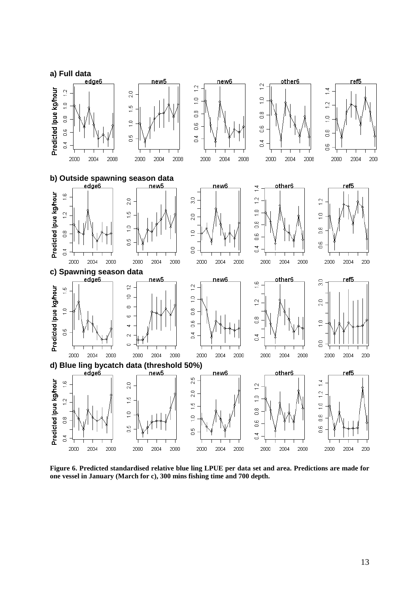

**Figure 6. Predicted standardised relative blue ling LPUE per data set and area. Predictions are made for one vessel in January (March for c), 300 mins fishing time and 700 depth.**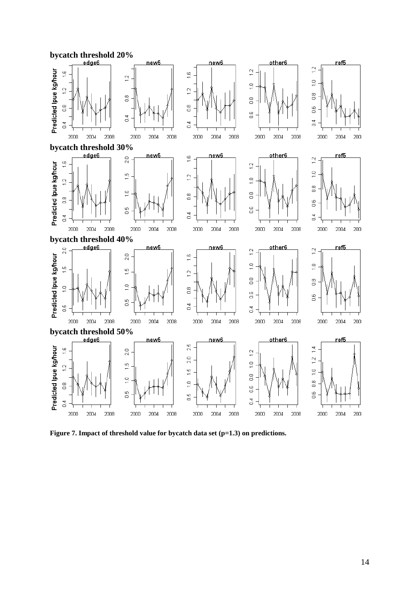

Figure 7. Impact of threshold value for bycatch data set (p=1.3) on predictions.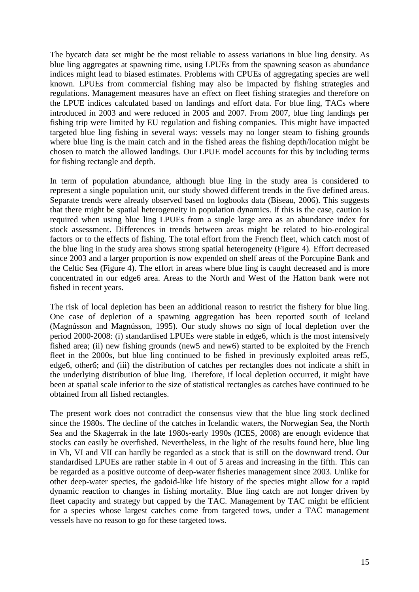The bycatch data set might be the most reliable to assess variations in blue ling density. As blue ling aggregates at spawning time, using LPUEs from the spawning season as abundance indices might lead to biased estimates. Problems with CPUEs of aggregating species are well known. LPUEs from commercial fishing may also be impacted by fishing strategies and regulations. Management measures have an effect on fleet fishing strategies and therefore on the LPUE indices calculated based on landings and effort data. For blue ling, TACs where introduced in 2003 and were reduced in 2005 and 2007. From 2007, blue ling landings per fishing trip were limited by EU regulation and fishing companies. This might have impacted targeted blue ling fishing in several ways: vessels may no longer steam to fishing grounds where blue ling is the main catch and in the fished areas the fishing depth/location might be chosen to match the allowed landings. Our LPUE model accounts for this by including terms for fishing rectangle and depth.

In term of population abundance, although blue ling in the study area is considered to represent a single population unit, our study showed different trends in the five defined areas. Separate trends were already observed based on logbooks data (Biseau, 2006). This suggests that there might be spatial heterogeneity in population dynamics. If this is the case, caution is required when using blue ling LPUEs from a single large area as an abundance index for stock assessment. Differences in trends between areas might be related to bio-ecological factors or to the effects of fishing. The total effort from the French fleet, which catch most of the blue ling in the study area shows strong spatial heterogeneity (Figure 4). Effort decreased since 2003 and a larger proportion is now expended on shelf areas of the Porcupine Bank and the Celtic Sea (Figure 4). The effort in areas where blue ling is caught decreased and is more concentrated in our edge6 area. Areas to the North and West of the Hatton bank were not fished in recent years.

The risk of local depletion has been an additional reason to restrict the fishery for blue ling. One case of depletion of a spawning aggregation has been reported south of Iceland (Magnússon and Magnússon, 1995). Our study shows no sign of local depletion over the period 2000-2008: (i) standardised LPUEs were stable in edge6, which is the most intensively fished area; (ii) new fishing grounds (new5 and new6) started to be exploited by the French fleet in the 2000s, but blue ling continued to be fished in previously exploited areas ref5, edge6, other6; and (iii) the distribution of catches per rectangles does not indicate a shift in the underlying distribution of blue ling. Therefore, if local depletion occurred, it might have been at spatial scale inferior to the size of statistical rectangles as catches have continued to be obtained from all fished rectangles.

The present work does not contradict the consensus view that the blue ling stock declined since the 1980s. The decline of the catches in Icelandic waters, the Norwegian Sea, the North Sea and the Skagerrak in the late 1980s-early 1990s (ICES, 2008) are enough evidence that stocks can easily be overfished. Nevertheless, in the light of the results found here, blue ling in Vb, VI and VII can hardly be regarded as a stock that is still on the downward trend. Our standardised LPUEs are rather stable in 4 out of 5 areas and increasing in the fifth. This can be regarded as a positive outcome of deep-water fisheries management since 2003. Unlike for other deep-water species, the gadoid-like life history of the species might allow for a rapid dynamic reaction to changes in fishing mortality. Blue ling catch are not longer driven by fleet capacity and strategy but capped by the TAC. Management by TAC might be efficient for a species whose largest catches come from targeted tows, under a TAC management vessels have no reason to go for these targeted tows.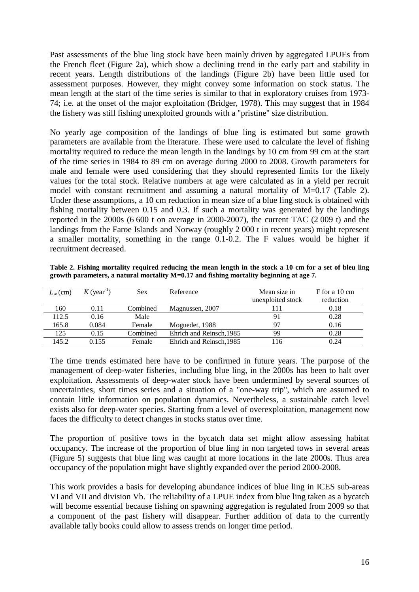Past assessments of the blue ling stock have been mainly driven by aggregated LPUEs from the French fleet (Figure 2a), which show a declining trend in the early part and stability in recent years. Length distributions of the landings (Figure 2b) have been little used for assessment purposes. However, they might convey some information on stock status. The mean length at the start of the time series is similar to that in exploratory cruises from 1973- 74; i.e. at the onset of the major exploitation (Bridger, 1978). This may suggest that in 1984 the fishery was still fishing unexploited grounds with a "pristine" size distribution.

No yearly age composition of the landings of blue ling is estimated but some growth parameters are available from the literature. These were used to calculate the level of fishing mortality required to reduce the mean length in the landings by 10 cm from 99 cm at the start of the time series in 1984 to 89 cm on average during 2000 to 2008. Growth parameters for male and female were used considering that they should represented limits for the likely values for the total stock. Relative numbers at age were calculated as in a yield per recruit model with constant recruitment and assuming a natural mortality of M=0.17 (Table 2). Under these assumptions, a 10 cm reduction in mean size of a blue ling stock is obtained with fishing mortality between 0.15 and 0.3. If such a mortality was generated by the landings reported in the 2000s (6 600 t on average in 2000-2007), the current TAC (2 009 t) and the landings from the Faroe Islands and Norway (roughly 2 000 t in recent years) might represent a smaller mortality, something in the range 0.1-0.2. The F values would be higher if recruitment decreased.

**Table 2. Fishing mortality required reducing the mean length in the stock a 10 cm for a set of bleu ling growth parameters, a natural mortality M=0.17 and fishing mortality beginning at age 7.** 

| $L_{\infty}$ (cm) | $K$ (year <sup>-1</sup> ) | Sex      | Reference                | Mean size in      | F for a 10 cm |
|-------------------|---------------------------|----------|--------------------------|-------------------|---------------|
|                   |                           |          |                          | unexploited stock | reduction     |
| 160               | 0.11                      | Combined | Magnussen, 2007          | l 1 1             | 0.18          |
| 112.5             | 0.16                      | Male     |                          | 91                | 0.28          |
| 165.8             | 0.084                     | Female   | Moguedet, 1988           | 97                | 0.16          |
| 125               | 0.15                      | Combined | Ehrich and Reinsch, 1985 | 99                | 0.28          |
| 145.2             | 0.155                     | Female   | Ehrich and Reinsch. 1985 | 116               | 0.24          |

The time trends estimated here have to be confirmed in future years. The purpose of the management of deep-water fisheries, including blue ling, in the 2000s has been to halt over exploitation. Assessments of deep-water stock have been undermined by several sources of uncertainties, short times series and a situation of a "one-way trip", which are assumed to contain little information on population dynamics. Nevertheless, a sustainable catch level exists also for deep-water species. Starting from a level of overexploitation, management now faces the difficulty to detect changes in stocks status over time.

The proportion of positive tows in the bycatch data set might allow assessing habitat occupancy. The increase of the proportion of blue ling in non targeted tows in several areas (Figure 5) suggests that blue ling was caught at more locations in the late 2000s. Thus area occupancy of the population might have slightly expanded over the period 2000-2008.

This work provides a basis for developing abundance indices of blue ling in ICES sub-areas VI and VII and division Vb. The reliability of a LPUE index from blue ling taken as a bycatch will become essential because fishing on spawning aggregation is regulated from 2009 so that a component of the past fishery will disappear. Further addition of data to the currently available tally books could allow to assess trends on longer time period.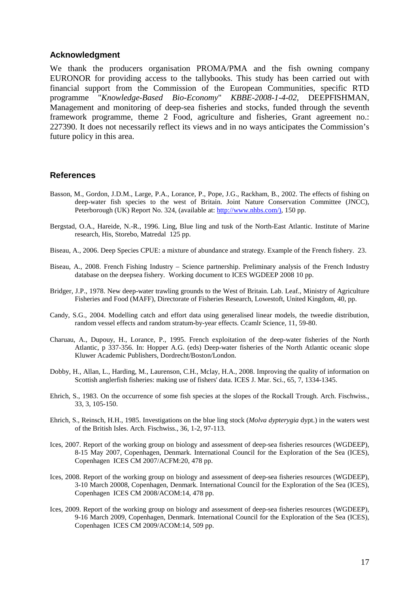#### **Acknowledgment**

We thank the producers organisation PROMA/PMA and the fish owning company EURONOR for providing access to the tallybooks. This study has been carried out with financial support from the Commission of the European Communities, specific RTD programme "*Knowledge-Based Bio-Economy*" *KBBE-2008-1-4-02,* DEEPFISHMAN, Management and monitoring of deep-sea fisheries and stocks, funded through the seventh framework programme, theme 2 Food, agriculture and fisheries, Grant agreement no.: 227390. It does not necessarily reflect its views and in no ways anticipates the Commission's future policy in this area.

#### **References**

- Basson, M., Gordon, J.D.M., Large, P.A., Lorance, P., Pope, J.G., Rackham, B., 2002. The effects of fishing on deep-water fish species to the west of Britain. Joint Nature Conservation Committee (JNCC), Peterborough (UK) Report No. 324, (available at: http://www.nhbs.com/), 150 pp.
- Bergstad, O.A., Hareide, N.-R., 1996. Ling, Blue ling and tusk of the North-East Atlantic. Institute of Marine research, His, Storebo, Matredal 125 pp.
- Biseau, A., 2006. Deep Species CPUE: a mixture of abundance and strategy. Example of the French fishery. 23.
- Biseau, A., 2008. French Fishing Industry Science partnership. Preliminary analysis of the French Industry database on the deepsea fishery. Working document to ICES WGDEEP 2008 10 pp.
- Bridger, J.P., 1978. New deep-water trawling grounds to the West of Britain. Lab. Leaf., Ministry of Agriculture Fisheries and Food (MAFF), Directorate of Fisheries Research, Lowestoft, United Kingdom, 40, pp.
- Candy, S.G., 2004. Modelling catch and effort data using generalised linear models, the tweedie distribution, random vessel effects and random stratum-by-year effects. Ccamlr Science, 11, 59-80.
- Charuau, A., Dupouy, H., Lorance, P., 1995. French exploitation of the deep-water fisheries of the North Atlantic, p 337-356. In: Hopper A.G. (eds) Deep-water fisheries of the North Atlantic oceanic slope Kluwer Academic Publishers, Dordrecht/Boston/London.
- Dobby, H., Allan, L., Harding, M., Laurenson, C.H., Mclay, H.A., 2008. Improving the quality of information on Scottish anglerfish fisheries: making use of fishers' data. ICES J. Mar. Sci., 65, 7, 1334-1345.
- Ehrich, S., 1983. On the occurrence of some fish species at the slopes of the Rockall Trough. Arch. Fischwiss., 33, 3, 105-150.
- Ehrich, S., Reinsch, H.H., 1985. Investigations on the blue ling stock (*Molva dypterygia* dypt.) in the waters west of the British Isles. Arch. Fischwiss., 36, 1-2, 97-113.
- Ices, 2007. Report of the working group on biology and assessment of deep-sea fisheries resources (WGDEEP), 8-15 May 2007, Copenhagen, Denmark. International Council for the Exploration of the Sea (ICES), Copenhagen ICES CM 2007/ACFM:20, 478 pp.
- Ices, 2008. Report of the working group on biology and assessment of deep-sea fisheries resources (WGDEEP), 3-10 March 20008, Copenhagen, Denmark. International Council for the Exploration of the Sea (ICES), Copenhagen ICES CM 2008/ACOM:14, 478 pp.
- Ices, 2009. Report of the working group on biology and assessment of deep-sea fisheries resources (WGDEEP), 9-16 March 2009, Copenhagen, Denmark. International Council for the Exploration of the Sea (ICES), Copenhagen ICES CM 2009/ACOM:14, 509 pp.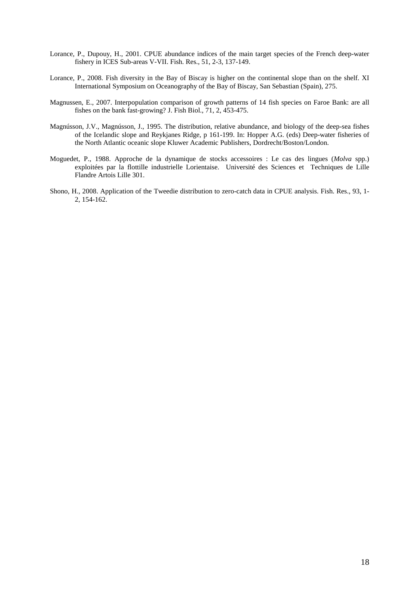- Lorance, P., Dupouy, H., 2001. CPUE abundance indices of the main target species of the French deep-water fishery in ICES Sub-areas V-VII. Fish. Res., 51, 2-3, 137-149.
- Lorance, P., 2008. Fish diversity in the Bay of Biscay is higher on the continental slope than on the shelf. XI International Symposium on Oceanography of the Bay of Biscay, San Sebastian (Spain), 275.
- Magnussen, E., 2007. Interpopulation comparison of growth patterns of 14 fish species on Faroe Bank: are all fishes on the bank fast-growing? J. Fish Biol., 71, 2, 453-475.
- Magnússon, J.V., Magnússon, J., 1995. The distribution, relative abundance, and biology of the deep-sea fishes of the Icelandic slope and Reykjanes Ridge, p 161-199. In: Hopper A.G. (eds) Deep-water fisheries of the North Atlantic oceanic slope Kluwer Academic Publishers, Dordrecht/Boston/London.
- Moguedet, P., 1988. Approche de la dynamique de stocks accessoires : Le cas des lingues (*Molva* spp.) exploitées par la flottille industrielle Lorientaise. Université des Sciences et Techniques de Lille Flandre Artois Lille 301.
- Shono, H., 2008. Application of the Tweedie distribution to zero-catch data in CPUE analysis. Fish. Res., 93, 1- 2, 154-162.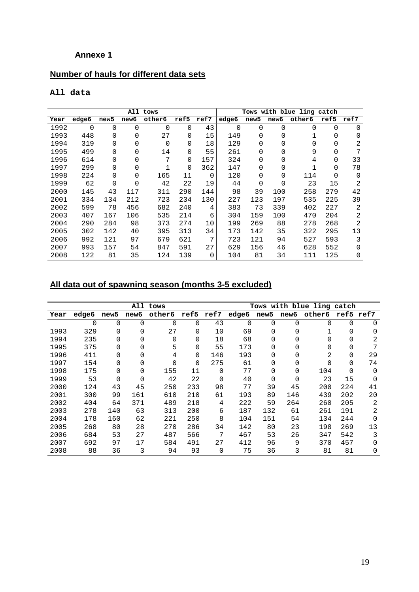## **Annexe 1**

## **Number of hauls for different data sets**

## **All data**

| All tows |       |      |          |          |      |          |       |      |                  | Tows with blue ling catch |          |          |
|----------|-------|------|----------|----------|------|----------|-------|------|------------------|---------------------------|----------|----------|
| Year     | edge6 | new5 | new6     | other6   | ref5 | ref7     | edge6 | new5 | new <sub>6</sub> | other6                    | ref5     | ref7     |
| 1992     | 0     | 0    | $\Omega$ | $\Omega$ | 0    | 43       | 0     | 0    | 0                | 0                         | 0        | 0        |
| 1993     | 448   | 0    | 0        | 27       | 0    | 15       | 149   | 0    | 0                |                           | 0        | O        |
| 1994     | 319   | 0    | 0        | $\Omega$ | 0    | 18       | 129   | 0    | 0                | 0                         | 0        | 2        |
| 1995     | 499   | 0    | 0        | 14       | 0    | 55       | 261   | 0    | 0                | 9                         | 0        | 7        |
| 1996     | 614   | 0    | 0        | 7        | 0    | 157      | 324   | 0    | 0                | 4                         | 0        | 33       |
| 1997     | 299   | 0    | 0        | 1        | 0    | 362      | 147   | 0    | 0                |                           | 0        | 78       |
| 1998     | 224   | 0    | 0        | 165      | 11   | $\Omega$ | 120   | 0    | 0                | 114                       | $\Omega$ | $\Omega$ |
| 1999     | 62    | 0    | 0        | 42       | 22   | 19       | 44    | 0    | 0                | 23                        | 15       | 2        |
| 2000     | 145   | 43   | 117      | 311      | 290  | 144      | 98    | 39   | 100              | 258                       | 279      | 42       |
| 2001     | 334   | 134  | 212      | 723      | 234  | 130      | 227   | 123  | 197              | 535                       | 225      | 39       |
| 2002     | 599   | 78   | 456      | 682      | 240  | 4        | 383   | 73   | 339              | 402                       | 227      | 2        |
| 2003     | 407   | 167  | 106      | 535      | 214  | 6        | 304   | 159  | 100              | 470                       | 204      | 2        |
| 2004     | 290   | 284  | 98       | 373      | 274  | 10       | 199   | 269  | 88               | 278                       | 268      | 2        |
| 2005     | 302   | 142  | 40       | 395      | 313  | 34       | 173   | 142  | 35               | 322                       | 295      | 13       |
| 2006     | 992   | 121  | 97       | 679      | 621  | 7        | 723   | 121  | 94               | 527                       | 593      | 3        |
| 2007     | 993   | 157  | 54       | 847      | 591  | 27       | 629   | 156  | 46               | 628                       | 552      | $\Omega$ |
| 2008     | 122   | 81   | 35       | 124      | 139  | 0        | 104   | 81   | 34               | 111                       | 125      | 0        |

# **All data out of spawning season (months 3-5 excluded)**

|      |       |                  | All      | tows     |          |      |       |                  |          | Tows with blue ling catch |     |              |
|------|-------|------------------|----------|----------|----------|------|-------|------------------|----------|---------------------------|-----|--------------|
| Year | edge6 | new <sub>5</sub> | new6     | other6   | ref5     | ref7 | edge6 | new <sub>5</sub> | new6     | other6                    |     | ref5 ref7    |
|      | 0     | 0                | $\Omega$ | 0        | $\Omega$ | 43   | 0     | 0                | $\Omega$ | 0                         | 0   | $\Omega$     |
| 1993 | 329   | 0                | $\Omega$ | 27       | $\Omega$ | 10   | 69    | 0                | $\Omega$ |                           | 0   | 0            |
| 1994 | 235   | 0                | 0        | $\Omega$ | $\Omega$ | 18   | 68    | 0                | 0        | 0                         | 0   | 2            |
| 1995 | 375   | 0                | $\Omega$ | 5        | $\Omega$ | 55   | 173   | 0                | $\Omega$ | 0                         | 0   | 7            |
| 1996 | 411   | 0                | $\Omega$ | 4        | $\Omega$ | 146  | 193   |                  | $\Omega$ | 2                         | 0   | 29           |
| 1997 | 154   | 0                | $\Omega$ | $\Omega$ | $\Omega$ | 275  | 61    | 0                | $\Omega$ | U                         | 0   | 74           |
| 1998 | 175   | 0                | $\Omega$ | 155      | 11       | 0    | 77    | 0                | 0        | 104                       | 0   | $\Omega$     |
| 1999 | 53    | 0                | $\Omega$ | 42       | 22       | 0    | 40    | 0                | $\Omega$ | 23                        | 15  | $\Omega$     |
| 2000 | 124   | 43               | 45       | 250      | 233      | 98   | 77    | 39               | 45       | 200                       | 224 | 41           |
| 2001 | 300   | 99               | 161      | 610      | 210      | 61   | 193   | 89               | 146      | 439                       | 202 | 20           |
| 2002 | 404   | 64               | 371      | 489      | 218      | 4    | 222   | 59               | 264      | 260                       | 205 | 2            |
| 2003 | 278   | 140              | 63       | 313      | 200      | 6    | 187   | 132              | 61       | 261                       | 191 | 2            |
| 2004 | 178   | 160              | 62       | 221      | 250      | 8    | 104   | 151              | 54       | 134                       | 244 | $\Omega$     |
| 2005 | 268   | 80               | 28       | 270      | 286      | 34   | 142   | 80               | 23       | 198                       | 269 | 13           |
| 2006 | 684   | 53               | 27       | 487      | 566      | 7    | 467   | 53               | 26       | 347                       | 542 | 3            |
| 2007 | 692   | 97               | 17       | 584      | 491      | 27   | 412   | 96               | 9        | 370                       | 457 | <sup>0</sup> |
| 2008 | 88    | 36               | 3        | 94       | 93       | 0    | 75    | 36               | 3        | 81                        | 81  | 0            |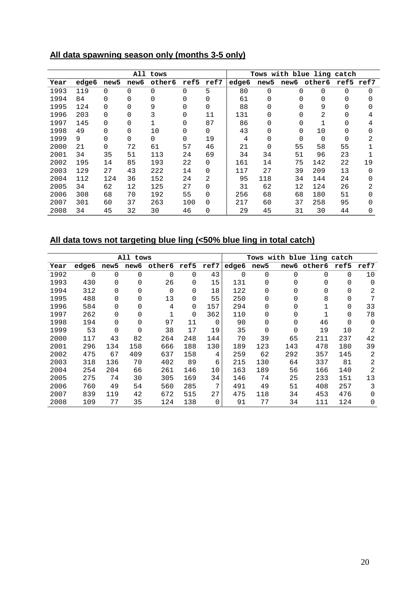## **All data spawning season only (months 3-5 only)**

| All tows |       |      |          |          |          |          |       |      |          | Tows with blue ling catch |    |           |
|----------|-------|------|----------|----------|----------|----------|-------|------|----------|---------------------------|----|-----------|
| Year     | edge6 | new5 | new6     | other6   | ref5     | ref7     | edge6 | new5 | new6     | other6                    |    | ref5 ref7 |
| 1993     | 119   | 0    | 0        | 0        | 0        | 5        | 80    | 0    | $\Omega$ | 0                         | 0  |           |
| 1994     | 84    | 0    | 0        | 0        | 0        | 0        | 61    | 0    |          | 0                         |    |           |
| 1995     | 124   | 0    | $\Omega$ | 9        | 0        | 0        | 88    |      |          | 9                         |    |           |
| 1996     | 203   | 0    | 0        | 3        | 0        | 11       | 131   | 0    |          | 2                         |    |           |
| 1997     | 145   | 0    | $\Omega$ |          | 0        | 87       | 86    |      |          |                           |    | 4         |
| 1998     | 49    | 0    | 0        | 10       | 0        | 0        | 43    |      | 0        | 10                        |    |           |
| 1999     | 9     | 0    | $\Omega$ | $\Omega$ | $\Omega$ | 19       | 4     |      | O        | O                         | 0  |           |
| 2000     | 21    | 0    | 72       | 61       | 57       | 46       | 21    | 0    | 55       | 58                        | 55 |           |
| 2001     | 34    | 35   | 51       | 113      | 24       | 69       | 34    | 34   | 51       | 96                        | 23 |           |
| 2002     | 195   | 14   | 85       | 193      | 22       | $\Omega$ | 161   | 14   | 75       | 142                       | 22 | 19        |
| 2003     | 129   | 27   | 43       | 222      | 14       | 0        | 117   | 27   | 39       | 209                       | 13 | 0         |
| 2004     | 112   | 124  | 36       | 152      | 24       | 2        | 95    | 118  | 34       | 144                       | 24 |           |
| 2005     | 34    | 62   | 12       | 125      | 27       | 0        | 31    | 62   | 12       | 124                       | 26 | 2         |
| 2006     | 308   | 68   | 70       | 192      | 55       | 0        | 256   | 68   | 68       | 180                       | 51 |           |
| 2007     | 301   | 60   | 37       | 263      | 100      | $\Omega$ | 217   | 60   | 37       | 258                       | 95 |           |
| 2008     | 34    | 45   | 32       | 30       | 46       | 0        | 29    | 45   | 31       | 30                        | 44 |           |

## **All data tows not targeting blue ling (<50% blue ling in total catch)**

|      |          |          | All tows |        |          |      |          | Tows with blue ling catch |          |        |      |                |
|------|----------|----------|----------|--------|----------|------|----------|---------------------------|----------|--------|------|----------------|
| Year | edge6    | new5     | new6     | other6 | ref5     | ref7 | edge6    | new5                      | new6     | other6 | ref5 | ref7           |
| 1992 | $\Omega$ | $\Omega$ | 0        | 0      | 0        | 43   | $\Omega$ | 0                         | $\Omega$ | 0      | 0    | 10             |
| 1993 | 430      | 0        | O        | 26     | 0        | 15   | 131      | O                         | $\Omega$ | 0      | O    | $\Omega$       |
| 1994 | 312      | 0        | 0        | 0      | 0        | 18   | 122      | 0                         | $\Omega$ | 0      | 0    | 2              |
| 1995 | 488      | 0        | 0        | 13     | 0        | 55   | 250      | 0                         | $\Omega$ | 8      | O    |                |
| 1996 | 584      | 0        | 0        | 4      | 0        | 157  | 294      | 0                         | $\Omega$ |        | 0    | 33             |
| 1997 | 262      | 0        | 0        |        | $\Omega$ | 362  | 110      | 0                         | $\Omega$ |        | 0    | 78             |
| 1998 | 194      | 0        | 0        | 97     | 11       | 0    | 90       | 0                         | 0        | 46     | 0    | $\Omega$       |
| 1999 | 53       | 0        | 0        | 38     | 17       | 19   | 35       | 0                         | $\Omega$ | 19     | 10   | 2              |
| 2000 | 117      | 43       | 82       | 264    | 248      | 144  | 70       | 39                        | 65       | 211    | 237  | 42             |
| 2001 | 296      | 134      | 158      | 666    | 188      | 130  | 189      | 123                       | 143      | 478    | 180  | 39             |
| 2002 | 475      | 67       | 409      | 637    | 158      | 4    | 259      | 62                        | 292      | 357    | 145  | $\overline{2}$ |
| 2003 | 318      | 136      | 70       | 402    | 89       | 6    | 215      | 130                       | 64       | 337    | 81   | 2              |
| 2004 | 254      | 204      | 66       | 261    | 146      | 10   | 163      | 189                       | 56       | 166    | 140  | 2              |
| 2005 | 275      | 74       | 30       | 305    | 169      | 34   | 146      | 74                        | 25       | 233    | 151  | 13             |
| 2006 | 760      | 49       | 54       | 560    | 285      | 7    | 491      | 49                        | 51       | 408    | 257  | 3              |
| 2007 | 839      | 119      | 42       | 672    | 515      | 27   | 475      | 118                       | 34       | 453    | 476  | $\Omega$       |
| 2008 | 109      | 77       | 35       | 124    | 138      | 0    | 91       | 77                        | 34       | 111    | 124  | 0              |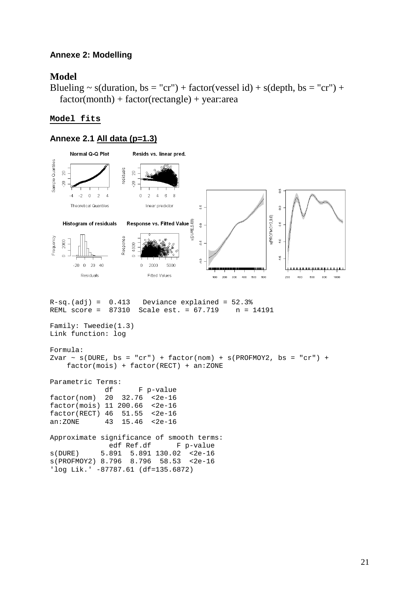### **Annexe 2: Modelling**

### **Model**

Blueling  $\sim$  s(duration, bs = "cr") + factor(vessel id) + s(depth, bs = "cr") +  $factor(month) + factor(rectangle) + year: area$ 

### **Model fits**

#### **Annexe 2.1 All data (p=1.3)**

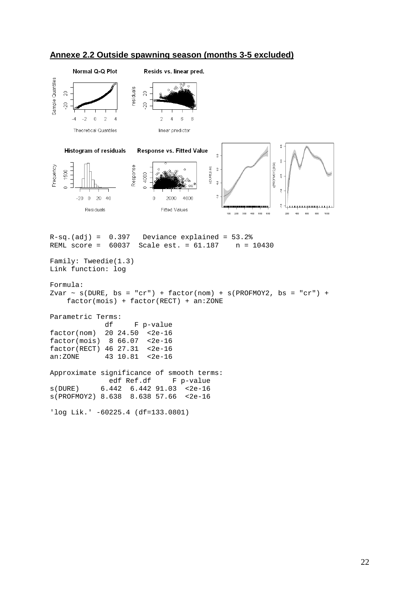![](_page_21_Figure_0.jpeg)

#### **Annexe 2.2 Outside spawning season (months 3-5 excluded)**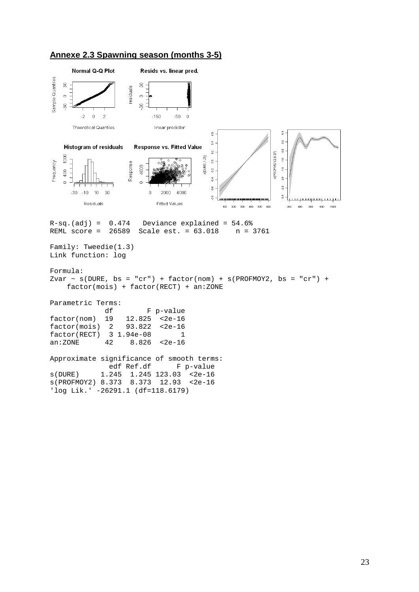![](_page_22_Figure_0.jpeg)

![](_page_22_Figure_1.jpeg)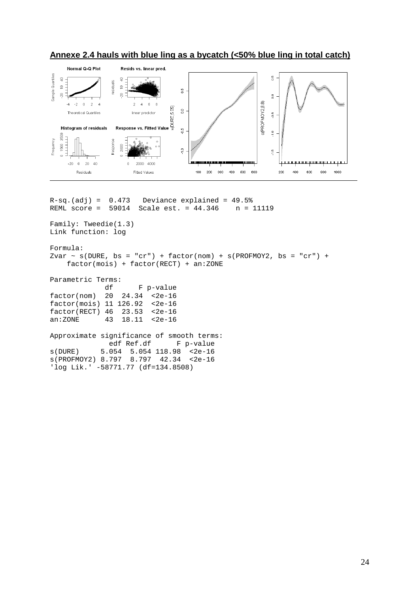![](_page_23_Figure_0.jpeg)

## **Annexe 2.4 hauls with blue ling as a bycatch (<50% blue ling in total catch)**

 $R-sq.(adj) = 0.473$  Deviance explained = 49.5% REML score = 59014 Scale est. = 44.346 n = 11119 Family: Tweedie(1.3) Link function: log Formula: Zvar  $\sim$  s(DURE, bs = "cr") + factor(nom) + s(PROFMOY2, bs = "cr") + factor(mois) + factor(RECT) + an:ZONE Parametric Terms: df F p-value factor(nom) 20 24.34 <2e-16 factor(mois) 11 126.92 <2e-16 factor(RECT) 46 23.53 <2e-16 an:ZONE 43 18.11 <2e-16 Approximate significance of smooth terms:<br>edf Ref.df F p-value F p-value s(DURE) 5.054 5.054 118.98 <2e-16 s(PROFMOY2) 8.797 8.797 42.34 <2e-16 'log Lik.' -58771.77 (df=134.8508)